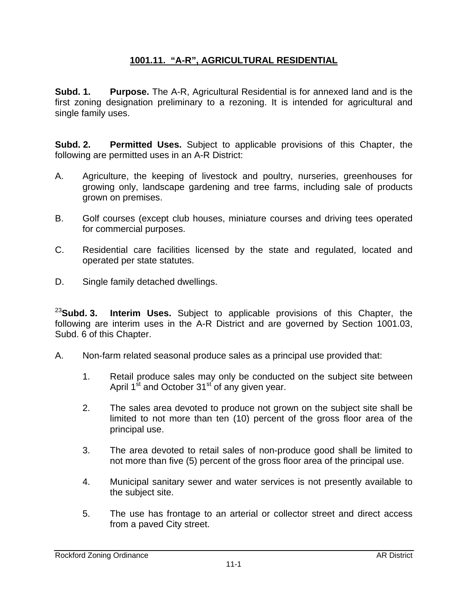## **1001.11. "A-R", AGRICULTURAL RESIDENTIAL**

**Subd. 1. Purpose.** The A-R, Agricultural Residential is for annexed land and is the first zoning designation preliminary to a rezoning. It is intended for agricultural and single family uses.

**Subd. 2. Permitted Uses.** Subject to applicable provisions of this Chapter, the following are permitted uses in an A-R District:

- A. Agriculture, the keeping of livestock and poultry, nurseries, greenhouses for growing only, landscape gardening and tree farms, including sale of products grown on premises.
- B. Golf courses (except club houses, miniature courses and driving tees operated for commercial purposes.
- C. Residential care facilities licensed by the state and regulated, located and operated per state statutes.
- D. Single family detached dwellings.

<sup>23</sup>**Subd. 3. Interim Uses.** Subject to applicable provisions of this Chapter, the following are interim uses in the A-R District and are governed by Section 1001.03, Subd. 6 of this Chapter.

- A. Non-farm related seasonal produce sales as a principal use provided that:
	- 1. Retail produce sales may only be conducted on the subject site between April 1<sup>st</sup> and October 31<sup>st</sup> of any given year.
	- 2. The sales area devoted to produce not grown on the subject site shall be limited to not more than ten (10) percent of the gross floor area of the principal use.
	- 3. The area devoted to retail sales of non-produce good shall be limited to not more than five (5) percent of the gross floor area of the principal use.
	- 4. Municipal sanitary sewer and water services is not presently available to the subject site.
	- 5. The use has frontage to an arterial or collector street and direct access from a paved City street.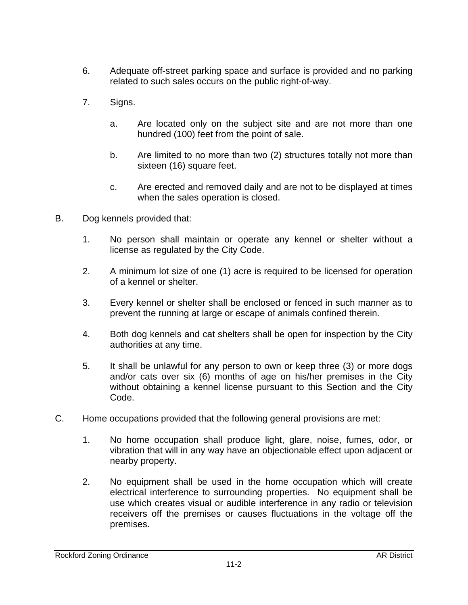- 6. Adequate off-street parking space and surface is provided and no parking related to such sales occurs on the public right-of-way.
- 7. Signs.
	- a. Are located only on the subject site and are not more than one hundred (100) feet from the point of sale.
	- b. Are limited to no more than two (2) structures totally not more than sixteen (16) square feet.
	- c. Are erected and removed daily and are not to be displayed at times when the sales operation is closed.
- B. Dog kennels provided that:
	- 1. No person shall maintain or operate any kennel or shelter without a license as regulated by the City Code.
	- 2. A minimum lot size of one (1) acre is required to be licensed for operation of a kennel or shelter.
	- 3. Every kennel or shelter shall be enclosed or fenced in such manner as to prevent the running at large or escape of animals confined therein.
	- 4. Both dog kennels and cat shelters shall be open for inspection by the City authorities at any time.
	- 5. It shall be unlawful for any person to own or keep three (3) or more dogs and/or cats over six (6) months of age on his/her premises in the City without obtaining a kennel license pursuant to this Section and the City Code.
- C. Home occupations provided that the following general provisions are met:
	- 1. No home occupation shall produce light, glare, noise, fumes, odor, or vibration that will in any way have an objectionable effect upon adjacent or nearby property.
	- 2. No equipment shall be used in the home occupation which will create electrical interference to surrounding properties. No equipment shall be use which creates visual or audible interference in any radio or television receivers off the premises or causes fluctuations in the voltage off the premises.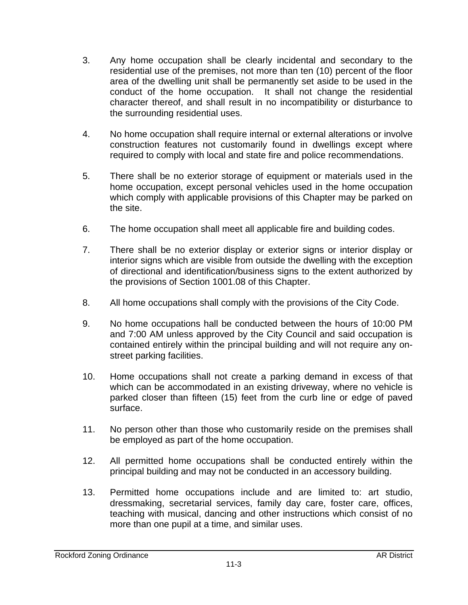- 3. Any home occupation shall be clearly incidental and secondary to the residential use of the premises, not more than ten (10) percent of the floor area of the dwelling unit shall be permanently set aside to be used in the conduct of the home occupation. It shall not change the residential character thereof, and shall result in no incompatibility or disturbance to the surrounding residential uses.
- 4. No home occupation shall require internal or external alterations or involve construction features not customarily found in dwellings except where required to comply with local and state fire and police recommendations.
- 5. There shall be no exterior storage of equipment or materials used in the home occupation, except personal vehicles used in the home occupation which comply with applicable provisions of this Chapter may be parked on the site.
- 6. The home occupation shall meet all applicable fire and building codes.
- 7. There shall be no exterior display or exterior signs or interior display or interior signs which are visible from outside the dwelling with the exception of directional and identification/business signs to the extent authorized by the provisions of Section 1001.08 of this Chapter.
- 8. All home occupations shall comply with the provisions of the City Code.
- 9. No home occupations hall be conducted between the hours of 10:00 PM and 7:00 AM unless approved by the City Council and said occupation is contained entirely within the principal building and will not require any onstreet parking facilities.
- 10. Home occupations shall not create a parking demand in excess of that which can be accommodated in an existing driveway, where no vehicle is parked closer than fifteen (15) feet from the curb line or edge of paved surface.
- 11. No person other than those who customarily reside on the premises shall be employed as part of the home occupation.
- 12. All permitted home occupations shall be conducted entirely within the principal building and may not be conducted in an accessory building.
- 13. Permitted home occupations include and are limited to: art studio, dressmaking, secretarial services, family day care, foster care, offices, teaching with musical, dancing and other instructions which consist of no more than one pupil at a time, and similar uses.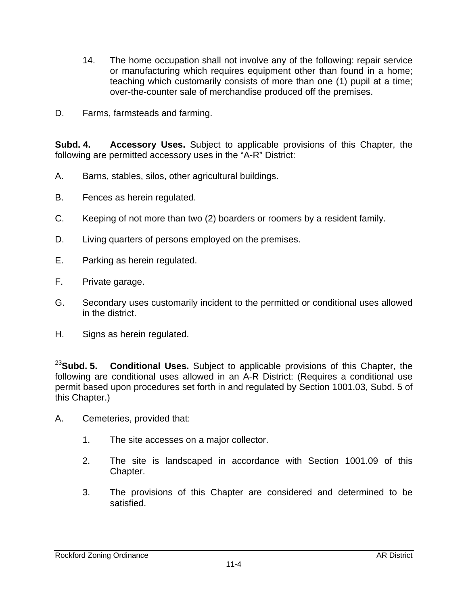- 14. The home occupation shall not involve any of the following: repair service or manufacturing which requires equipment other than found in a home; teaching which customarily consists of more than one (1) pupil at a time; over-the-counter sale of merchandise produced off the premises.
- D. Farms, farmsteads and farming.

**Subd. 4. Accessory Uses.** Subject to applicable provisions of this Chapter, the following are permitted accessory uses in the "A-R" District:

- A. Barns, stables, silos, other agricultural buildings.
- B. Fences as herein regulated.
- C. Keeping of not more than two (2) boarders or roomers by a resident family.
- D. Living quarters of persons employed on the premises.
- E. Parking as herein regulated.
- F. Private garage.
- G. Secondary uses customarily incident to the permitted or conditional uses allowed in the district.
- H. Signs as herein regulated.

<sup>23</sup>**Subd. 5. Conditional Uses.** Subject to applicable provisions of this Chapter, the following are conditional uses allowed in an A-R District: (Requires a conditional use permit based upon procedures set forth in and regulated by Section 1001.03, Subd. 5 of this Chapter.)

- A. Cemeteries, provided that:
	- 1. The site accesses on a major collector.
	- 2. The site is landscaped in accordance with Section 1001.09 of this Chapter.
	- 3. The provisions of this Chapter are considered and determined to be satisfied.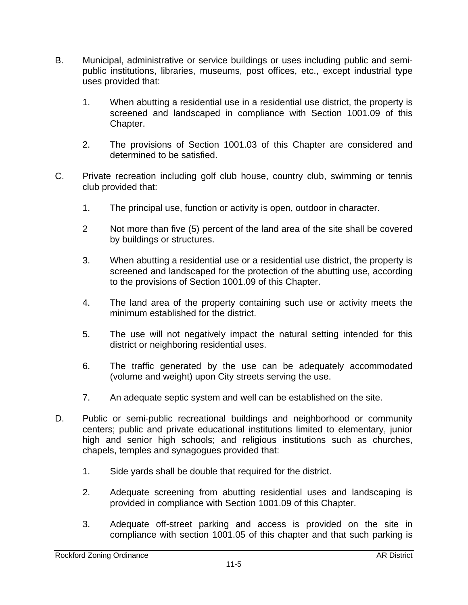- B. Municipal, administrative or service buildings or uses including public and semipublic institutions, libraries, museums, post offices, etc., except industrial type uses provided that:
	- 1. When abutting a residential use in a residential use district, the property is screened and landscaped in compliance with Section 1001.09 of this Chapter.
	- 2. The provisions of Section 1001.03 of this Chapter are considered and determined to be satisfied.
- C. Private recreation including golf club house, country club, swimming or tennis club provided that:
	- 1. The principal use, function or activity is open, outdoor in character.
	- 2 Not more than five (5) percent of the land area of the site shall be covered by buildings or structures.
	- 3. When abutting a residential use or a residential use district, the property is screened and landscaped for the protection of the abutting use, according to the provisions of Section 1001.09 of this Chapter.
	- 4. The land area of the property containing such use or activity meets the minimum established for the district.
	- 5. The use will not negatively impact the natural setting intended for this district or neighboring residential uses.
	- 6. The traffic generated by the use can be adequately accommodated (volume and weight) upon City streets serving the use.
	- 7. An adequate septic system and well can be established on the site.
- D. Public or semi-public recreational buildings and neighborhood or community centers; public and private educational institutions limited to elementary, junior high and senior high schools; and religious institutions such as churches, chapels, temples and synagogues provided that:
	- 1. Side yards shall be double that required for the district.
	- 2. Adequate screening from abutting residential uses and landscaping is provided in compliance with Section 1001.09 of this Chapter.
	- 3. Adequate off-street parking and access is provided on the site in compliance with section 1001.05 of this chapter and that such parking is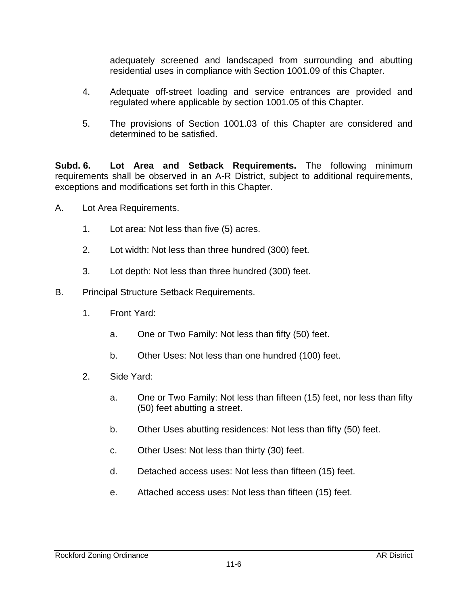adequately screened and landscaped from surrounding and abutting residential uses in compliance with Section 1001.09 of this Chapter.

- 4. Adequate off-street loading and service entrances are provided and regulated where applicable by section 1001.05 of this Chapter.
- 5. The provisions of Section 1001.03 of this Chapter are considered and determined to be satisfied.

**Subd. 6. Lot Area and Setback Requirements.** The following minimum requirements shall be observed in an A-R District, subject to additional requirements, exceptions and modifications set forth in this Chapter.

- A. Lot Area Requirements.
	- 1. Lot area: Not less than five (5) acres.
	- 2. Lot width: Not less than three hundred (300) feet.
	- 3. Lot depth: Not less than three hundred (300) feet.
- B. Principal Structure Setback Requirements.
	- 1. Front Yard:
		- a. One or Two Family: Not less than fifty (50) feet.
		- b. Other Uses: Not less than one hundred (100) feet.
	- 2. Side Yard:
		- a. One or Two Family: Not less than fifteen (15) feet, nor less than fifty (50) feet abutting a street.
		- b. Other Uses abutting residences: Not less than fifty (50) feet.
		- c. Other Uses: Not less than thirty (30) feet.
		- d. Detached access uses: Not less than fifteen (15) feet.
		- e. Attached access uses: Not less than fifteen (15) feet.